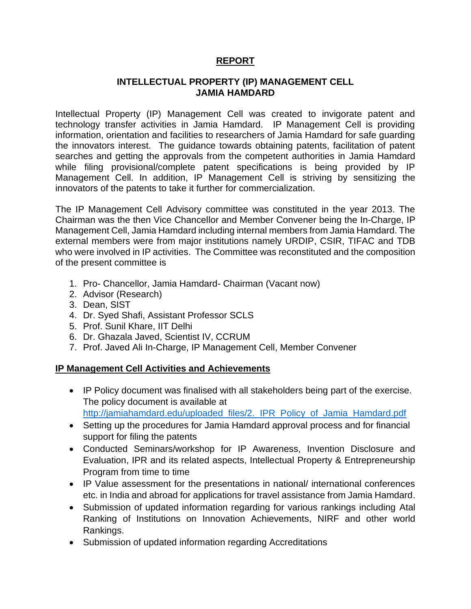## **REPORT**

## **INTELLECTUAL PROPERTY (IP) MANAGEMENT CELL JAMIA HAMDARD**

Intellectual Property (IP) Management Cell was created to invigorate patent and technology transfer activities in Jamia Hamdard. IP Management Cell is providing information, orientation and facilities to researchers of Jamia Hamdard for safe guarding the innovators interest. The guidance towards obtaining patents, facilitation of patent searches and getting the approvals from the competent authorities in Jamia Hamdard while filing provisional/complete patent specifications is being provided by IP Management Cell. In addition, IP Management Cell is striving by sensitizing the innovators of the patents to take it further for commercialization.

The IP Management Cell Advisory committee was constituted in the year 2013. The Chairman was the then Vice Chancellor and Member Convener being the In-Charge, IP Management Cell, Jamia Hamdard including internal members from Jamia Hamdard. The external members were from major institutions namely URDIP, CSIR, TIFAC and TDB who were involved in IP activities. The Committee was reconstituted and the composition of the present committee is

- 1. Pro- Chancellor, Jamia Hamdard- Chairman (Vacant now)
- 2. Advisor (Research)
- 3. Dean, SIST
- 4. Dr. Syed Shafi, Assistant Professor SCLS
- 5. Prof. Sunil Khare, IIT Delhi
- 6. Dr. Ghazala Javed, Scientist IV, CCRUM
- 7. Prof. Javed Ali In-Charge, IP Management Cell, Member Convener

## **IP Management Cell Activities and Achievements**

- IP Policy document was finalised with all stakeholders being part of the exercise. The policy document is available at [http://jamiahamdard.edu/uploaded\\_files/2.\\_IPR\\_Policy\\_of\\_Jamia\\_Hamdard.pdf](http://jamiahamdard.edu/uploaded_files/2._IPR_Policy_of_Jamia_Hamdard.pdf)
- Setting up the procedures for Jamia Hamdard approval process and for financial support for filing the patents
- Conducted Seminars/workshop for IP Awareness, Invention Disclosure and Evaluation, IPR and its related aspects, Intellectual Property & Entrepreneurship Program from time to time
- IP Value assessment for the presentations in national/ international conferences etc. in India and abroad for applications for travel assistance from Jamia Hamdard.
- Submission of updated information regarding for various rankings including Atal Ranking of Institutions on Innovation Achievements, NIRF and other world Rankings.
- Submission of updated information regarding Accreditations